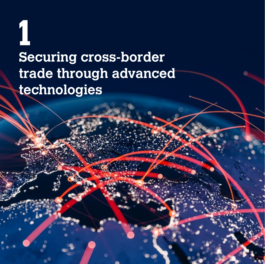# **1 Securing cross-border trade through advanced technologies**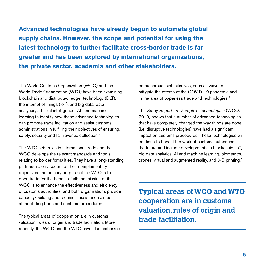**Advanced technologies have already begun to automate global supply chains. However, the scope and potential for using the latest technology to further facilitate cross-border trade is far greater and has been explored by international organizations, the private sector, academia and other stakeholders.** 

The World Customs Organization (WCO) and the World Trade Organization (WTO) have been examining blockchain and distributed ledger technology (DLT), the internet of things (IoT), and big data, data analytics, artificial intelligence (AI) and machine learning to identify how these advanced technologies can promote trade facilitation and assist customs administrations in fulfilling their objectives of ensuring, safety, security and fair revenue collection.<sup>1</sup>

The WTO sets rules in international trade and the WCO develops the relevant standards and tools relating to border formalities. They have a long-standing partnership on account of their complementary objectives: the primary purpose of the WTO is to open trade for the benefit of all; the mission of the WCO is to enhance the effectiveness and efficiency of customs authorities; and both organizations provide capacity-building and technical assistance aimed at facilitating trade and customs procedures.

The typical areas of cooperation are in customs valuation, rules of origin and trade facilitation. More recently, the WCO and the WTO have also embarked on numerous joint initiatives, such as ways to mitigate the effects of the COVID-19 pandemic and in the area of paperless trade and technologies.<sup>2</sup>

The *Study Report on Disruptive Technologies* (WCO, 2019) shows that a number of advanced technologies that have completely changed the way things are done (i.e. disruptive technologies) have had a significant impact on customs procedures. These technologies will continue to benefit the work of customs authorities in the future and include developments in blockchain, IoT, big data analytics, AI and machine learning, biometrics, drones, virtual and augmented reality, and 3-D printing.3

**Typical areas of WCO and WTO cooperation are in customs valuation, rules of origin and trade facilitation.**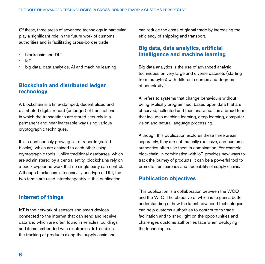Of these, three areas of advanced technology in particular play a significant role in the future work of customs authorities and in facilitating cross-border trade:

- blockchain and DLT
- IoT
- big data, data analytics, AI and machine learning

## **Blockchain and distributed ledger technology**

A blockchain is a time-stamped, decentralized and distributed digital record (or ledger) of transactions in which the transactions are stored securely in a permanent and near inalterable way using various cryptographic techniques.

It is a continuously growing list of records (called blocks), which are chained to each other using cryptographic tools. Unlike traditional databases, which are administered by a central entity, blockchains rely on a peer-to-peer network that no single party can control. Although blockchain is technically one type of DLT, the two terms are used interchangeably in this publication.

## **Internet of things**

IoT is the network of sensors and smart devices connected to the internet that can send and receive data and which are often found in vehicles, buildings and items embedded with electronics. IoT enables the tracking of products along the supply chain and

can reduce the costs of global trade by increasing the efficiency of shipping and transport.

## **Big data, data analytics, artificial intelligence and machine learning**

Big data analytics is the use of advanced analytic techniques on very large and diverse datasets (starting from terabytes) with different sources and degrees of complexity.4

AI refers to systems that change behaviours without being explicitly programmed, based upon data that are observed, collected and then analysed. It is a broad term that includes machine learning, deep learning, computer vision and natural language processing.

Although this publication explores these three areas separately, they are not mutually exclusive, and customs authorities often use them in combination. For example, blockchain, in combination with IoT, provides new ways to track the journey of products. It can be a powerful tool to promote transparency and traceability of supply chains.

## **Publication objectives**

This publication is a collaboration between the WCO and the WTO. The objective of which is to gain a better understanding of how the latest advanced technologies can help customs authorities to contribute to trade facilitation and to shed light on the opportunities and challenges customs authorities face when deploying the technologies.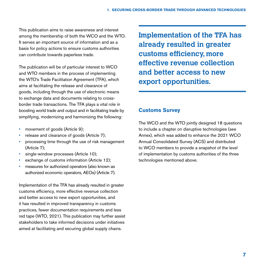This publication aims to raise awareness and interest among the membership of both the WCO and the WTO. It serves an important source of information and as a basis for policy actions to ensure customs authorities can contribute towards paperless trade.

The publication will be of particular interest to WCO and WTO members in the process of implementing the WTO's Trade Facilitation Agreement (TFA), which aims at facilitating the release and clearance of goods, including through the use of electronic means to exchange data and documents relating to crossborder trade transactions. The TFA plays a vital role in boosting world trade and output and in facilitating trade by simplifying, modernizing and harmonizing the following:

- movement of goods (Article 9);
- release and clearance of goods (Article 7);
- processing time through the use of risk management (Article 7);
- single-window processes (Article 10);
- exchange of customs information (Article 12):
- measures for authorized operators (also known as authorized economic operators, AEOs) (Article 7).

Implementation of the TFA has already resulted in greater customs efficiency, more effective revenue collection and better access to new export opportunities, and it has resulted in improved transparency in customs practices, fewer documentation requirements and less red tape (WTO, 2021). This publication may further assist stakeholders to take informed decisions under initiatives aimed at facilitating and securing global supply chains.

**Implementation of the TFA has already resulted in greater customs efficiency, more effective revenue collection and better access to new export opportunities.**

## **Customs Survey**

The WCO and the WTO jointly designed 18 questions to include a chapter on disruptive technologies (see Annex), which was added to enhance the 2021 WCO Annual Consolidated Survey (ACS) and distributed to WCO members to provide a snapshot of the level of implementation by customs authorities of the three technologies mentioned above.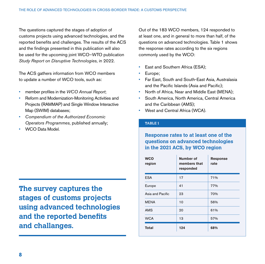The questions captured the stages of adoption of customs projects using advanced technologies, and the reported benefits and challenges. The results of the ACS and the findings presented in this publication will also be used for the upcoming joint WCO–WTO publication *Study Report on Disruptive Technologies*, in 2022.

The ACS gathers information from WCO members to update a number of WCO tools, such as:

- member profiles in the *WCO Annual Report*;
- Reform and Modernization-Monitoring Activities and Projects (RAMMAP) and Single Window Interactive Map (SWIM) databases;
- *Compendium of the Authorized Economic Operators Programmes*, published annually;
- WCO Data Model.

**The survey captures the stages of customs projects using advanced technologies and the reported benefits and challanges.**

Out of the 183 WCO members, 124 responded to at least one, and in general to more than half, of the questions on advanced technologies. Table 1 shows the response rates according to the six regions commonly used by the WCO:

- East and Southern Africa (ESA):
- Europe;
- Far East, South and South-East Asia, Australasia and the Pacific Islands (Asia and Pacific);
- North of Africa, Near and Middle East (MENA);
- South America, North America, Central America and the Caribbean (AMS);
- West and Central Africa (WCA).

### **TABLE 1**

## **Response rates to at least one of the questions on advanced technologies in the 2021 ACS, by WCO region**

| <b>WCO</b><br>region | Number of<br>members that<br>responded | <b>Response</b><br>rate |
|----------------------|----------------------------------------|-------------------------|
| <b>ESA</b>           | 17                                     | 71%                     |
| Europe               | 41                                     | 77%                     |
| Asia and Pacific     | 23                                     | 70%                     |
| <b>MENA</b>          | 10                                     | 56%                     |
| <b>AMS</b>           | 20                                     | 61%                     |
| <b>WCA</b>           | 13                                     | 57%                     |
| <b>Total</b>         | 124                                    | 68%                     |